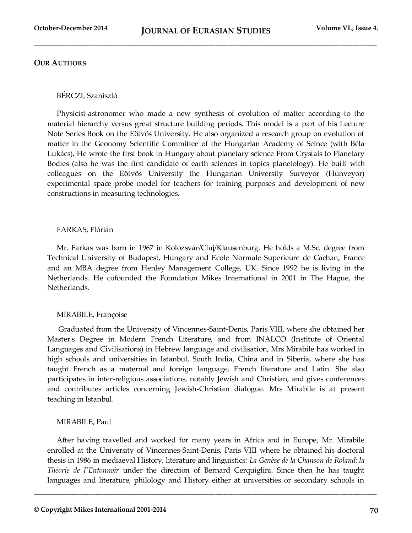# **OUR AUTHORS**

### BÉRCZI, Szaniszló

Physicist-astronomer who made a new synthesis of evolution of matter according to the material hierarchy versus great structure building periods. This model is a part of his Lecture Note Series Book on the Eötvös University. He also organized a research group on evolution of matter in the Geonomy Scientific Committee of the Hungarian Academy of Scince (with Béla Lukács). He wrote the first book in Hungary about planetary science From Crystals to Planetary Bodies (also he was the first candidate of earth sciences in topics planetology). He built with colleagues on the Eötvös University the Hungarian University Surveyor (Hunveyor) experimental space probe model for teachers for training purposes and development of new constructions in measuring technologies.

## FARKAS, Flórián

Mr. Farkas was born in 1967 in Kolozsvár/Cluj/Klausenburg. He holds a M.Sc. degree from Technical University of Budapest, Hungary and Ecole Normale Superieure de Cachan, France and an MBA degree from Henley Management College, UK. Since 1992 he is living in the Netherlands. He cofounded the Foundation Mikes International in 2001 in The Hague, the Netherlands.

# MIRABILE, Françoise

Graduated from the University of Vincennes-Saint-Denis, Paris VIII, where she obtained her Master's Degree in Modern French Literature, and from INALCO (Institute of Oriental Languages and Civilisations) in Hebrew language and civilisation, Mrs Mirabile has worked in high schools and universities in Istanbul, South India, China and in Siberia, where she has taught French as a maternal and foreign language, French literature and Latin. She also participates in inter-religious associations, notably Jewish and Christian, and gives conferences and contributes articles concerning Jewish-Christian dialogue. Mrs Mirabile is at present teaching in Istanbul.

# MIRABILE, Paul

After having travelled and worked for many years in Africa and in Europe, Mr. Mirabile enrolled at the University of Vincennes-Saint-Denis, Paris VIII where he obtained his doctoral thesis in 1986 in mediaeval History, literature and linguistics: *La Genèse de la Chanson de Roland: la Théorie de l'Entonnoir* under the direction of Bernard Cerquiglini. Since then he has taught languages and literature, philology and History either at universities or secondary schools in

**\_\_\_\_\_\_\_\_\_\_\_\_\_\_\_\_\_\_\_\_\_\_\_\_\_\_\_\_\_\_\_\_\_\_\_\_\_\_\_\_\_\_\_\_\_\_\_\_\_\_\_\_\_\_\_\_\_\_\_\_\_\_\_\_\_\_\_\_\_\_\_\_\_\_\_\_\_\_\_\_\_\_\_\_\_**